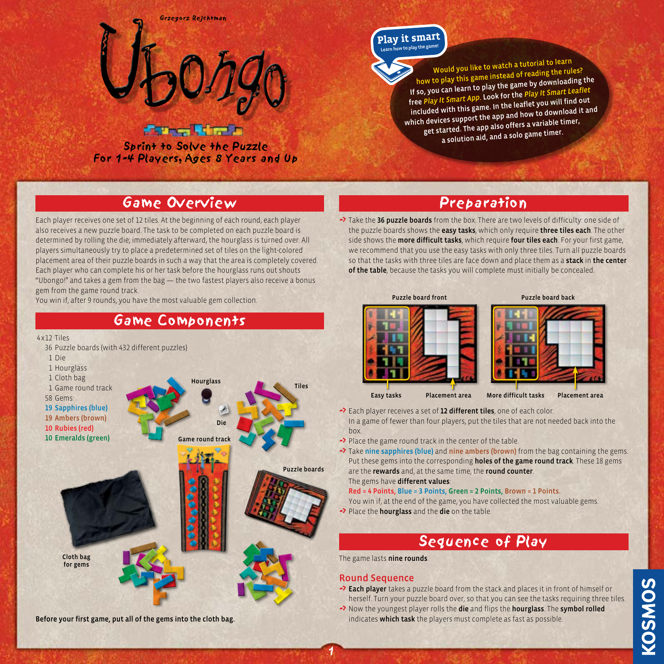

### **France Witness**

Sprint to Solve the Puzzle For 1-4 Players, Ages 8 Years and Up

# Learn how to play the gan **Play it smar<sup>t</sup>**

Would you like to watch a tutorial to learn how to play this game instead of reading the rules? If so, you can learn to play the game by downloading the free *Play It Smart App.* Look for the *Play It Smart Leaflet* included with this game. In the leaflet you will find out which devices support the app and how to download it an<sup>d</sup> get started. The app also offers a variable timer, a solution aid, and a solo game timer.

# Game Overview

Each player receives one set of 12 tiles. At the beginning of each round, each player also receives a new puzzle board. The task to be completed on each puzzle board is determined by rolling the die; immediately afterward, the hourglass is turned over. All players simultaneously try to place a predetermined set of tiles on the light-colored placement area of their puzzle boards in such a way that the area is completely covered. Each player who can complete his or her task before the hourglass runs out shouts "Ubongo!" and takes a gem from the bag — the two fastest players also receive a bonus gem from the game round track.

You win if, after 9 rounds, you have the most valuable gem collection.



#### Before your first game, put all of the gems into the cloth bag.

# Preparation

• Take the 36 puzzle boards from the box. There are two levels of difficulty: one side of the puzzle boards shows the **easy tasks**, which only require **three tiles each**. The other side shows the more difficult tasks, which require four tiles each. For your first game, we recommend that you use the easy tasks with only three tiles. Turn all puzzle boards so that the tasks with three tiles are face down and place them as a stack in the center of the table, because the tasks you will complete must initially be concealed.



-> Each player receives a set of 12 different tiles, one of each color. In a game of fewer than four players, put the tiles that are not needed back into the box.

-> Place the game round track in the center of the table.

• Take nine sapphires (blue) and nine ambers (brown) from the bag containing the gems. Put these gems into the corresponding holes of the game round track. These 18 gems are the rewards and, at the same time, the round counter. The gems have different values:

Red = 4 Points, Blue = 3 Points, Green = 2 Points, Brown = 1 Points.

You win if, at the end of the game, you have collected the most valuable gems. •> Place the hourglass and the die on the table.

# Sequence of Play

The game lasts nine rounds.

### Round Sequence

1

- Each player takes a puzzle board from the stack and places it in front of himself or herself. Turn your puzzle board over, so that you can see the tasks requiring three tiles.
- Now the youngest player rolls the die and flips the hourglass. The symbol rolled indicates which task the players must complete as fast as possible.

**KOSMOS**